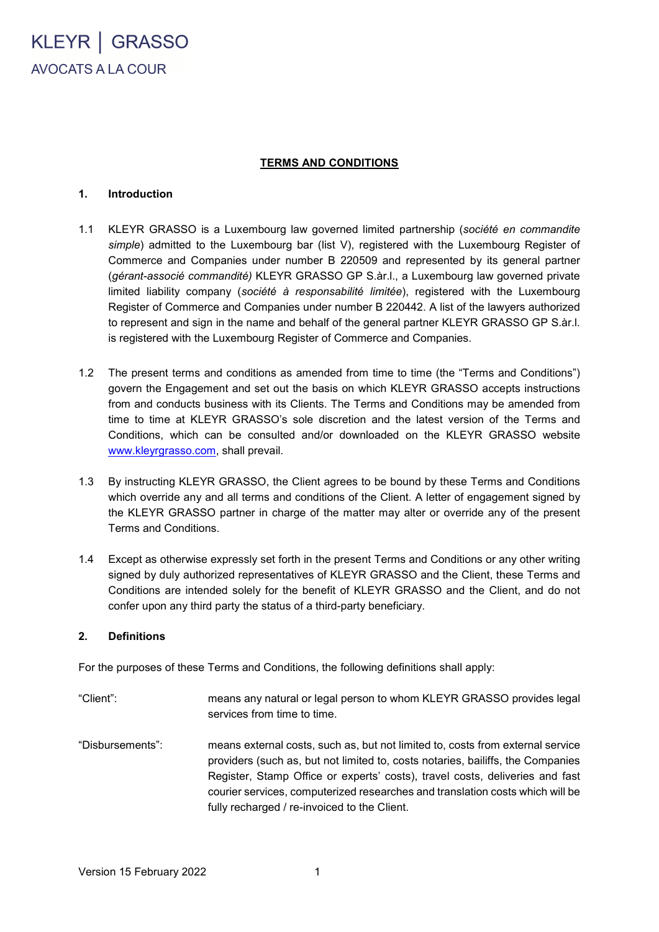KLEYR | GRASSO AVOCATS A LA COUR

#### **TERMS AND CONDITIONS**

#### **1. Introduction**

- 1.1 KLEYR GRASSO is a Luxembourg law governed limited partnership (*société en commandite simple*) admitted to the Luxembourg bar (list V), registered with the Luxembourg Register of Commerce and Companies under number B 220509 and represented by its general partner (*gérant-associé commandité)* KLEYR GRASSO GP S.àr.l., a Luxembourg law governed private limited liability company (*société à responsabilité limitée*), registered with the Luxembourg Register of Commerce and Companies under number B 220442. A list of the lawyers authorized to represent and sign in the name and behalf of the general partner KLEYR GRASSO GP S.àr.l. is registered with the Luxembourg Register of Commerce and Companies.
- 1.2 The present terms and conditions as amended from time to time (the "Terms and Conditions") govern the Engagement and set out the basis on which KLEYR GRASSO accepts instructions from and conducts business with its Clients. The Terms and Conditions may be amended from time to time at KLEYR GRASSO's sole discretion and the latest version of the Terms and Conditions, which can be consulted and/or downloaded on the KLEYR GRASSO website [www.kleyrgrasso.com,](http://www.kleyrgrasso.com/) shall prevail.
- 1.3 By instructing KLEYR GRASSO, the Client agrees to be bound by these Terms and Conditions which override any and all terms and conditions of the Client. A letter of engagement signed by the KLEYR GRASSO partner in charge of the matter may alter or override any of the present Terms and Conditions.
- 1.4 Except as otherwise expressly set forth in the present Terms and Conditions or any other writing signed by duly authorized representatives of KLEYR GRASSO and the Client, these Terms and Conditions are intended solely for the benefit of KLEYR GRASSO and the Client, and do not confer upon any third party the status of a third-party beneficiary.

#### **2. Definitions**

For the purposes of these Terms and Conditions, the following definitions shall apply:

- "Client": means any natural or legal person to whom KLEYR GRASSO provides legal services from time to time.
- "Disbursements": means external costs, such as, but not limited to, costs from external service providers (such as, but not limited to, costs notaries, bailiffs, the Companies Register, Stamp Office or experts' costs), travel costs, deliveries and fast courier services, computerized researches and translation costs which will be fully recharged / re-invoiced to the Client.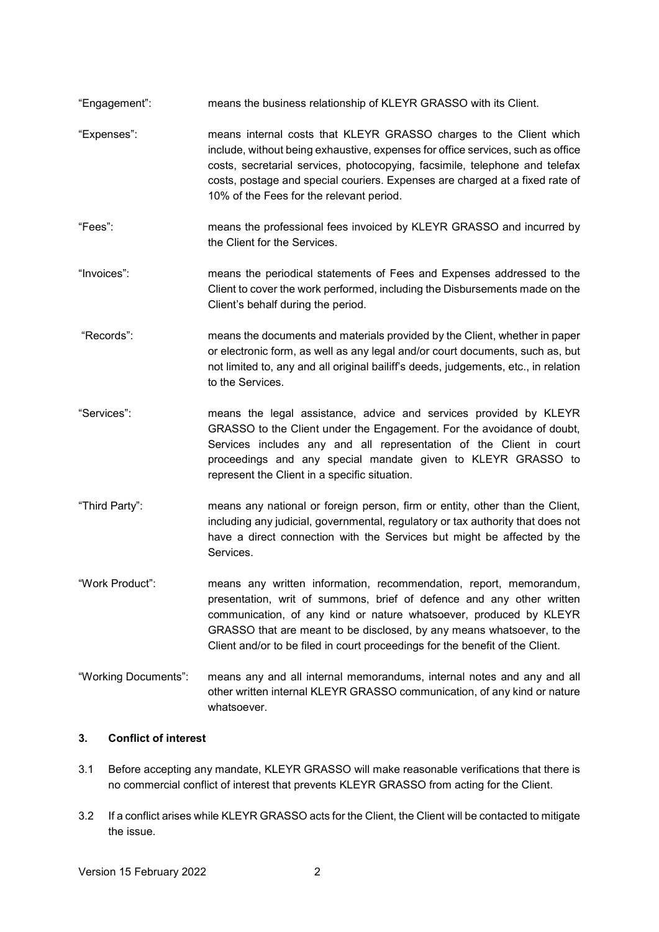- "Engagement": means the business relationship of KLEYR GRASSO with its Client.
- "Expenses": means internal costs that KLEYR GRASSO charges to the Client which include, without being exhaustive, expenses for office services, such as office costs, secretarial services, photocopying, facsimile, telephone and telefax costs, postage and special couriers. Expenses are charged at a fixed rate of 10% of the Fees for the relevant period.
- "Fees": means the professional fees invoiced by KLEYR GRASSO and incurred by the Client for the Services.
- "Invoices": means the periodical statements of Fees and Expenses addressed to the Client to cover the work performed, including the Disbursements made on the Client's behalf during the period.
- "Records": means the documents and materials provided by the Client, whether in paper or electronic form, as well as any legal and/or court documents, such as, but not limited to, any and all original bailiff's deeds, judgements, etc., in relation to the Services.
- "Services": means the legal assistance, advice and services provided by KLEYR GRASSO to the Client under the Engagement. For the avoidance of doubt, Services includes any and all representation of the Client in court proceedings and any special mandate given to KLEYR GRASSO to represent the Client in a specific situation.
- "Third Party": means any national or foreign person, firm or entity, other than the Client, including any judicial, governmental, regulatory or tax authority that does not have a direct connection with the Services but might be affected by the Services.
- "Work Product": means any written information, recommendation, report, memorandum, presentation, writ of summons, brief of defence and any other written communication, of any kind or nature whatsoever, produced by KLEYR GRASSO that are meant to be disclosed, by any means whatsoever, to the Client and/or to be filed in court proceedings for the benefit of the Client.
- "Working Documents": means any and all internal memorandums, internal notes and any and all other written internal KLEYR GRASSO communication, of any kind or nature whatsoever.

## **3. Conflict of interest**

- 3.1 Before accepting any mandate, KLEYR GRASSO will make reasonable verifications that there is no commercial conflict of interest that prevents KLEYR GRASSO from acting for the Client.
- 3.2 If a conflict arises while KLEYR GRASSO acts for the Client, the Client will be contacted to mitigate the issue.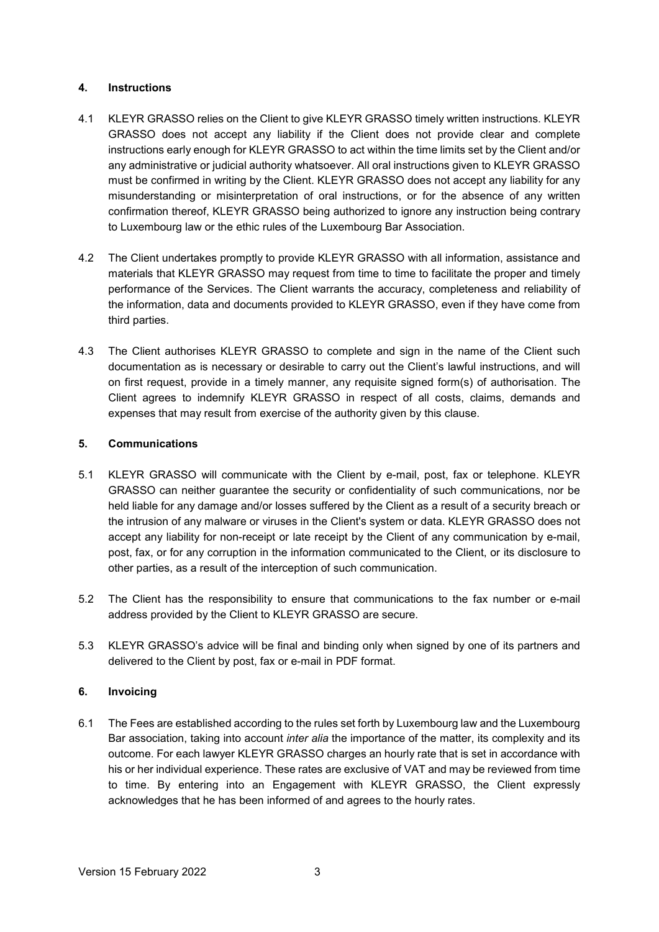### **4. Instructions**

- 4.1 KLEYR GRASSO relies on the Client to give KLEYR GRASSO timely written instructions. KLEYR GRASSO does not accept any liability if the Client does not provide clear and complete instructions early enough for KLEYR GRASSO to act within the time limits set by the Client and/or any administrative or judicial authority whatsoever. All oral instructions given to KLEYR GRASSO must be confirmed in writing by the Client. KLEYR GRASSO does not accept any liability for any misunderstanding or misinterpretation of oral instructions, or for the absence of any written confirmation thereof, KLEYR GRASSO being authorized to ignore any instruction being contrary to Luxembourg law or the ethic rules of the Luxembourg Bar Association.
- 4.2 The Client undertakes promptly to provide KLEYR GRASSO with all information, assistance and materials that KLEYR GRASSO may request from time to time to facilitate the proper and timely performance of the Services. The Client warrants the accuracy, completeness and reliability of the information, data and documents provided to KLEYR GRASSO, even if they have come from third parties.
- 4.3 The Client authorises KLEYR GRASSO to complete and sign in the name of the Client such documentation as is necessary or desirable to carry out the Client's lawful instructions, and will on first request, provide in a timely manner, any requisite signed form(s) of authorisation. The Client agrees to indemnify KLEYR GRASSO in respect of all costs, claims, demands and expenses that may result from exercise of the authority given by this clause.

### **5. Communications**

- 5.1 KLEYR GRASSO will communicate with the Client by e-mail, post, fax or telephone. KLEYR GRASSO can neither guarantee the security or confidentiality of such communications, nor be held liable for any damage and/or losses suffered by the Client as a result of a security breach or the intrusion of any malware or viruses in the Client's system or data. KLEYR GRASSO does not accept any liability for non-receipt or late receipt by the Client of any communication by e-mail, post, fax, or for any corruption in the information communicated to the Client, or its disclosure to other parties, as a result of the interception of such communication.
- 5.2 The Client has the responsibility to ensure that communications to the fax number or e-mail address provided by the Client to KLEYR GRASSO are secure.
- 5.3 KLEYR GRASSO's advice will be final and binding only when signed by one of its partners and delivered to the Client by post, fax or e-mail in PDF format.

## **6. Invoicing**

6.1 The Fees are established according to the rules set forth by Luxembourg law and the Luxembourg Bar association, taking into account *inter alia* the importance of the matter, its complexity and its outcome. For each lawyer KLEYR GRASSO charges an hourly rate that is set in accordance with his or her individual experience. These rates are exclusive of VAT and may be reviewed from time to time. By entering into an Engagement with KLEYR GRASSO, the Client expressly acknowledges that he has been informed of and agrees to the hourly rates.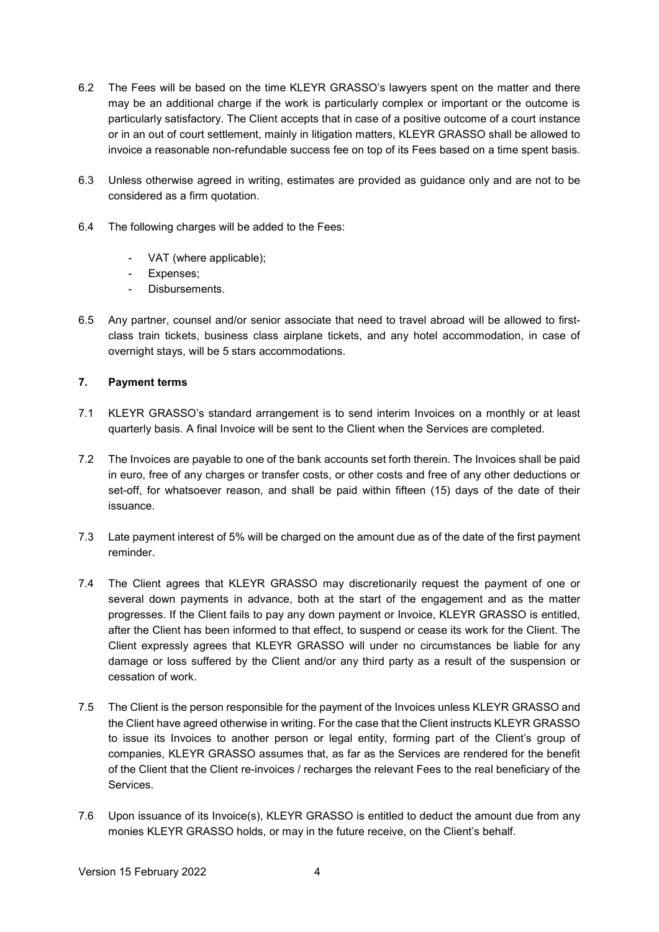- 6.2 The Fees will be based on the time KLEYR GRASSO's lawyers spent on the matter and there may be an additional charge if the work is particularly complex or important or the outcome is particularly satisfactory. The Client accepts that in case of a positive outcome of a court instance or in an out of court settlement, mainly in litigation matters, KLEYR GRASSO shall be allowed to invoice a reasonable non-refundable success fee on top of its Fees based on a time spent basis.
- 6.3 Unless otherwise agreed in writing, estimates are provided as guidance only and are not to be considered as a firm quotation.
- 6.4 The following charges will be added to the Fees:
	- VAT (where applicable);
	- Expenses;
	- Disbursements.
- 6.5 Any partner, counsel and/or senior associate that need to travel abroad will be allowed to firstclass train tickets, business class airplane tickets, and any hotel accommodation, in case of overnight stays, will be 5 stars accommodations.

# **7. Payment terms**

- 7.1 KLEYR GRASSO's standard arrangement is to send interim Invoices on a monthly or at least quarterly basis. A final Invoice will be sent to the Client when the Services are completed.
- 7.2 The Invoices are payable to one of the bank accounts set forth therein. The Invoices shall be paid in euro, free of any charges or transfer costs, or other costs and free of any other deductions or set-off, for whatsoever reason, and shall be paid within fifteen (15) days of the date of their issuance.
- 7.3 Late payment interest of 5% will be charged on the amount due as of the date of the first payment reminder.
- 7.4 The Client agrees that KLEYR GRASSO may discretionarily request the payment of one or several down payments in advance, both at the start of the engagement and as the matter progresses. If the Client fails to pay any down payment or Invoice, KLEYR GRASSO is entitled, after the Client has been informed to that effect, to suspend or cease its work for the Client. The Client expressly agrees that KLEYR GRASSO will under no circumstances be liable for any damage or loss suffered by the Client and/or any third party as a result of the suspension or cessation of work.
- 7.5 The Client is the person responsible for the payment of the Invoices unless KLEYR GRASSO and the Client have agreed otherwise in writing. For the case that the Client instructs KLEYR GRASSO to issue its Invoices to another person or legal entity, forming part of the Client's group of companies, KLEYR GRASSO assumes that, as far as the Services are rendered for the benefit of the Client that the Client re-invoices / recharges the relevant Fees to the real beneficiary of the Services.
- 7.6 Upon issuance of its Invoice(s), KLEYR GRASSO is entitled to deduct the amount due from any monies KLEYR GRASSO holds, or may in the future receive, on the Client's behalf.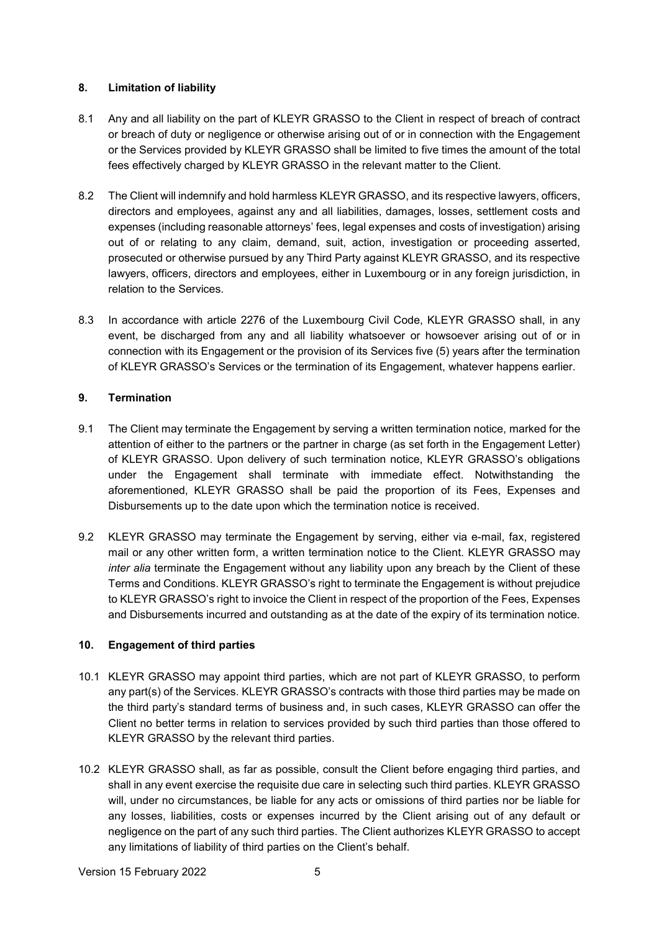### **8. Limitation of liability**

- 8.1 Any and all liability on the part of KLEYR GRASSO to the Client in respect of breach of contract or breach of duty or negligence or otherwise arising out of or in connection with the Engagement or the Services provided by KLEYR GRASSO shall be limited to five times the amount of the total fees effectively charged by KLEYR GRASSO in the relevant matter to the Client.
- 8.2 The Client will indemnify and hold harmless KLEYR GRASSO, and its respective lawyers, officers, directors and employees, against any and all liabilities, damages, losses, settlement costs and expenses (including reasonable attorneys' fees, legal expenses and costs of investigation) arising out of or relating to any claim, demand, suit, action, investigation or proceeding asserted, prosecuted or otherwise pursued by any Third Party against KLEYR GRASSO, and its respective lawyers, officers, directors and employees, either in Luxembourg or in any foreign jurisdiction, in relation to the Services.
- 8.3 In accordance with article 2276 of the Luxembourg Civil Code, KLEYR GRASSO shall, in any event, be discharged from any and all liability whatsoever or howsoever arising out of or in connection with its Engagement or the provision of its Services five (5) years after the termination of KLEYR GRASSO's Services or the termination of its Engagement, whatever happens earlier.

## **9. Termination**

- 9.1 The Client may terminate the Engagement by serving a written termination notice, marked for the attention of either to the partners or the partner in charge (as set forth in the Engagement Letter) of KLEYR GRASSO. Upon delivery of such termination notice, KLEYR GRASSO's obligations under the Engagement shall terminate with immediate effect. Notwithstanding the aforementioned, KLEYR GRASSO shall be paid the proportion of its Fees, Expenses and Disbursements up to the date upon which the termination notice is received.
- 9.2 KLEYR GRASSO may terminate the Engagement by serving, either via e-mail, fax, registered mail or any other written form, a written termination notice to the Client. KLEYR GRASSO may *inter alia* terminate the Engagement without any liability upon any breach by the Client of these Terms and Conditions. KLEYR GRASSO's right to terminate the Engagement is without prejudice to KLEYR GRASSO's right to invoice the Client in respect of the proportion of the Fees, Expenses and Disbursements incurred and outstanding as at the date of the expiry of its termination notice.

## **10. Engagement of third parties**

- 10.1 KLEYR GRASSO may appoint third parties, which are not part of KLEYR GRASSO, to perform any part(s) of the Services. KLEYR GRASSO's contracts with those third parties may be made on the third party's standard terms of business and, in such cases, KLEYR GRASSO can offer the Client no better terms in relation to services provided by such third parties than those offered to KLEYR GRASSO by the relevant third parties.
- 10.2 KLEYR GRASSO shall, as far as possible, consult the Client before engaging third parties, and shall in any event exercise the requisite due care in selecting such third parties. KLEYR GRASSO will, under no circumstances, be liable for any acts or omissions of third parties nor be liable for any losses, liabilities, costs or expenses incurred by the Client arising out of any default or negligence on the part of any such third parties. The Client authorizes KLEYR GRASSO to accept any limitations of liability of third parties on the Client's behalf.

Version 15 February 2022 5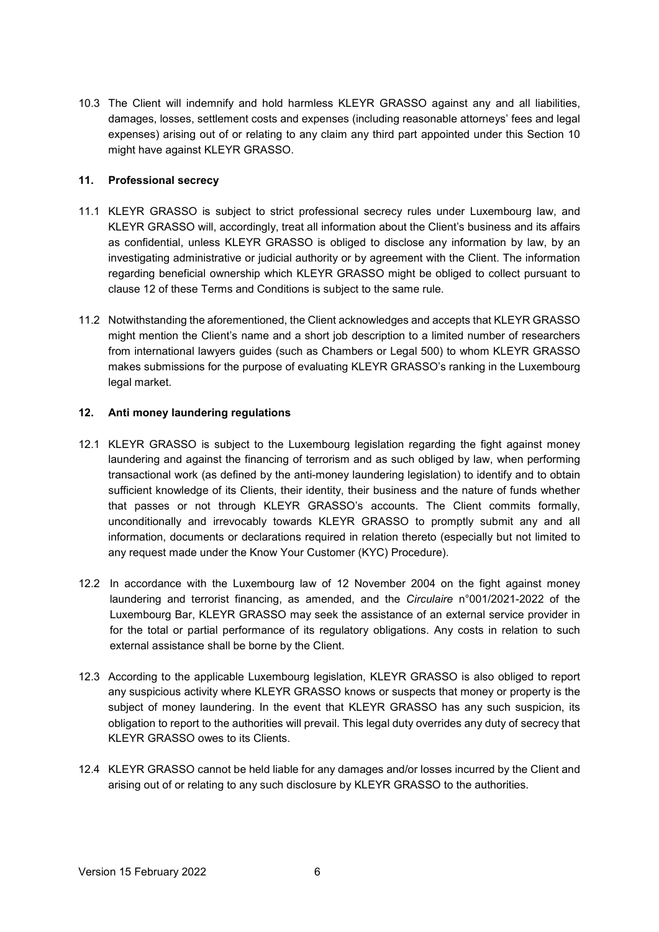10.3 The Client will indemnify and hold harmless KLEYR GRASSO against any and all liabilities, damages, losses, settlement costs and expenses (including reasonable attorneys' fees and legal expenses) arising out of or relating to any claim any third part appointed under this Section 10 might have against KLEYR GRASSO.

### **11. Professional secrecy**

- 11.1 KLEYR GRASSO is subject to strict professional secrecy rules under Luxembourg law, and KLEYR GRASSO will, accordingly, treat all information about the Client's business and its affairs as confidential, unless KLEYR GRASSO is obliged to disclose any information by law, by an investigating administrative or judicial authority or by agreement with the Client. The information regarding beneficial ownership which KLEYR GRASSO might be obliged to collect pursuant to clause 12 of these Terms and Conditions is subject to the same rule.
- 11.2 Notwithstanding the aforementioned, the Client acknowledges and accepts that KLEYR GRASSO might mention the Client's name and a short job description to a limited number of researchers from international lawyers guides (such as Chambers or Legal 500) to whom KLEYR GRASSO makes submissions for the purpose of evaluating KLEYR GRASSO's ranking in the Luxembourg legal market.

### **12. Anti money laundering regulations**

- 12.1 KLEYR GRASSO is subject to the Luxembourg legislation regarding the fight against money laundering and against the financing of terrorism and as such obliged by law, when performing transactional work (as defined by the anti-money laundering legislation) to identify and to obtain sufficient knowledge of its Clients, their identity, their business and the nature of funds whether that passes or not through KLEYR GRASSO's accounts. The Client commits formally, unconditionally and irrevocably towards KLEYR GRASSO to promptly submit any and all information, documents or declarations required in relation thereto (especially but not limited to any request made under the Know Your Customer (KYC) Procedure).
- 12.2 In accordance with the Luxembourg law of 12 November 2004 on the fight against money laundering and terrorist financing, as amended, and the *Circulaire* n°001/2021-2022 of the Luxembourg Bar, KLEYR GRASSO may seek the assistance of an external service provider in for the total or partial performance of its regulatory obligations. Any costs in relation to such external assistance shall be borne by the Client.
- 12.3 According to the applicable Luxembourg legislation, KLEYR GRASSO is also obliged to report any suspicious activity where KLEYR GRASSO knows or suspects that money or property is the subject of money laundering. In the event that KLEYR GRASSO has any such suspicion, its obligation to report to the authorities will prevail. This legal duty overrides any duty of secrecy that KLEYR GRASSO owes to its Clients.
- 12.4 KLEYR GRASSO cannot be held liable for any damages and/or losses incurred by the Client and arising out of or relating to any such disclosure by KLEYR GRASSO to the authorities.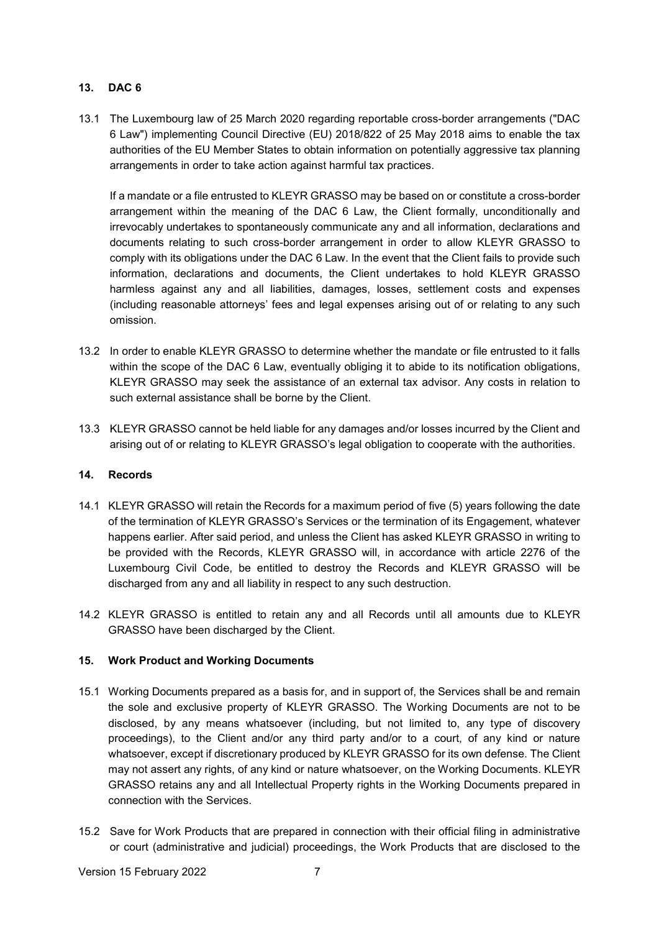## **13. DAC 6**

13.1 The Luxembourg law of 25 March 2020 regarding reportable cross-border arrangements ("DAC 6 Law") implementing Council Directive (EU) 2018/822 of 25 May 2018 aims to enable the tax authorities of the EU Member States to obtain information on potentially aggressive tax planning arrangements in order to take action against harmful tax practices.

If a mandate or a file entrusted to KLEYR GRASSO may be based on or constitute a cross-border arrangement within the meaning of the DAC 6 Law, the Client formally, unconditionally and irrevocably undertakes to spontaneously communicate any and all information, declarations and documents relating to such cross-border arrangement in order to allow KLEYR GRASSO to comply with its obligations under the DAC 6 Law. In the event that the Client fails to provide such information, declarations and documents, the Client undertakes to hold KLEYR GRASSO harmless against any and all liabilities, damages, losses, settlement costs and expenses (including reasonable attorneys' fees and legal expenses arising out of or relating to any such omission.

- 13.2 In order to enable KLEYR GRASSO to determine whether the mandate or file entrusted to it falls within the scope of the DAC 6 Law, eventually obliging it to abide to its notification obligations, KLEYR GRASSO may seek the assistance of an external tax advisor. Any costs in relation to such external assistance shall be borne by the Client.
- 13.3 KLEYR GRASSO cannot be held liable for any damages and/or losses incurred by the Client and arising out of or relating to KLEYR GRASSO's legal obligation to cooperate with the authorities.

#### **14. Records**

- 14.1 KLEYR GRASSO will retain the Records for a maximum period of five (5) years following the date of the termination of KLEYR GRASSO's Services or the termination of its Engagement, whatever happens earlier. After said period, and unless the Client has asked KLEYR GRASSO in writing to be provided with the Records, KLEYR GRASSO will, in accordance with article 2276 of the Luxembourg Civil Code, be entitled to destroy the Records and KLEYR GRASSO will be discharged from any and all liability in respect to any such destruction.
- 14.2 KLEYR GRASSO is entitled to retain any and all Records until all amounts due to KLEYR GRASSO have been discharged by the Client.

## **15. Work Product and Working Documents**

- 15.1 Working Documents prepared as a basis for, and in support of, the Services shall be and remain the sole and exclusive property of KLEYR GRASSO. The Working Documents are not to be disclosed, by any means whatsoever (including, but not limited to, any type of discovery proceedings), to the Client and/or any third party and/or to a court, of any kind or nature whatsoever, except if discretionary produced by KLEYR GRASSO for its own defense. The Client may not assert any rights, of any kind or nature whatsoever, on the Working Documents. KLEYR GRASSO retains any and all Intellectual Property rights in the Working Documents prepared in connection with the Services.
- 15.2 Save for Work Products that are prepared in connection with their official filing in administrative or court (administrative and judicial) proceedings, the Work Products that are disclosed to the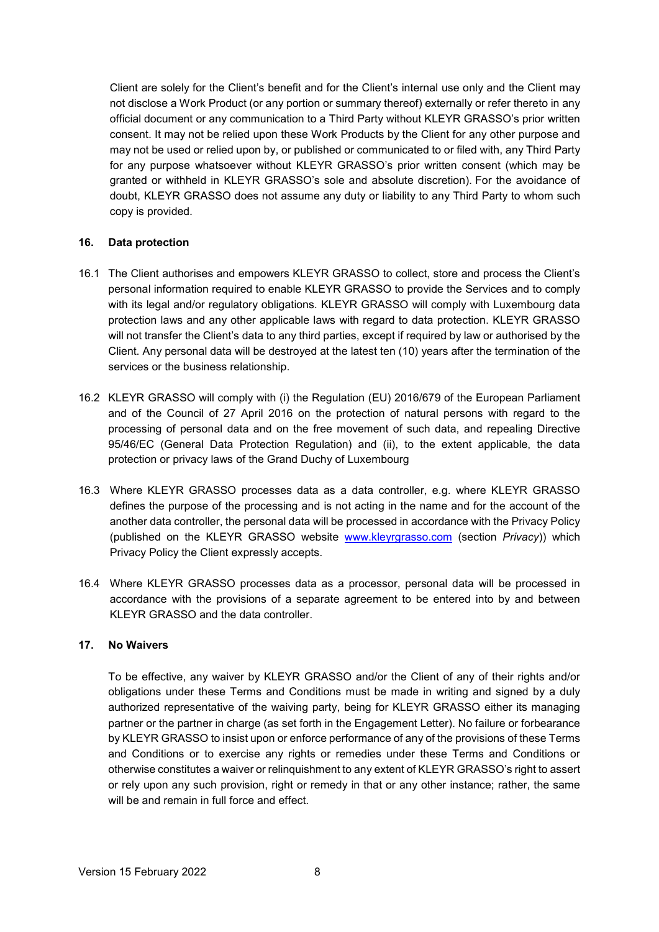Client are solely for the Client's benefit and for the Client's internal use only and the Client may not disclose a Work Product (or any portion or summary thereof) externally or refer thereto in any official document or any communication to a Third Party without KLEYR GRASSO's prior written consent. It may not be relied upon these Work Products by the Client for any other purpose and may not be used or relied upon by, or published or communicated to or filed with, any Third Party for any purpose whatsoever without KLEYR GRASSO's prior written consent (which may be granted or withheld in KLEYR GRASSO's sole and absolute discretion). For the avoidance of doubt, KLEYR GRASSO does not assume any duty or liability to any Third Party to whom such copy is provided.

### **16. Data protection**

- 16.1 The Client authorises and empowers KLEYR GRASSO to collect, store and process the Client's personal information required to enable KLEYR GRASSO to provide the Services and to comply with its legal and/or regulatory obligations. KLEYR GRASSO will comply with Luxembourg data protection laws and any other applicable laws with regard to data protection. KLEYR GRASSO will not transfer the Client's data to any third parties, except if required by law or authorised by the Client. Any personal data will be destroyed at the latest ten (10) years after the termination of the services or the business relationship.
- 16.2 KLEYR GRASSO will comply with (i) the Regulation (EU) 2016/679 of the European Parliament and of the Council of 27 April 2016 on the protection of natural persons with regard to the processing of personal data and on the free movement of such data, and repealing Directive 95/46/EC (General Data Protection Regulation) and (ii), to the extent applicable, the data protection or privacy laws of the Grand Duchy of Luxembourg
- 16.3 Where KLEYR GRASSO processes data as a data controller, e.g. where KLEYR GRASSO defines the purpose of the processing and is not acting in the name and for the account of the another data controller, the personal data will be processed in accordance with the Privacy Policy (published on the KLEYR GRASSO website [www.kleyrgrasso.com](http://www.kleyrgrasso.com/) (section *Privacy*)) which Privacy Policy the Client expressly accepts.
- 16.4 Where KLEYR GRASSO processes data as a processor, personal data will be processed in accordance with the provisions of a separate agreement to be entered into by and between KLEYR GRASSO and the data controller.

## **17. No Waivers**

To be effective, any waiver by KLEYR GRASSO and/or the Client of any of their rights and/or obligations under these Terms and Conditions must be made in writing and signed by a duly authorized representative of the waiving party, being for KLEYR GRASSO either its managing partner or the partner in charge (as set forth in the Engagement Letter). No failure or forbearance by KLEYR GRASSO to insist upon or enforce performance of any of the provisions of these Terms and Conditions or to exercise any rights or remedies under these Terms and Conditions or otherwise constitutes a waiver or relinquishment to any extent of KLEYR GRASSO's right to assert or rely upon any such provision, right or remedy in that or any other instance; rather, the same will be and remain in full force and effect.